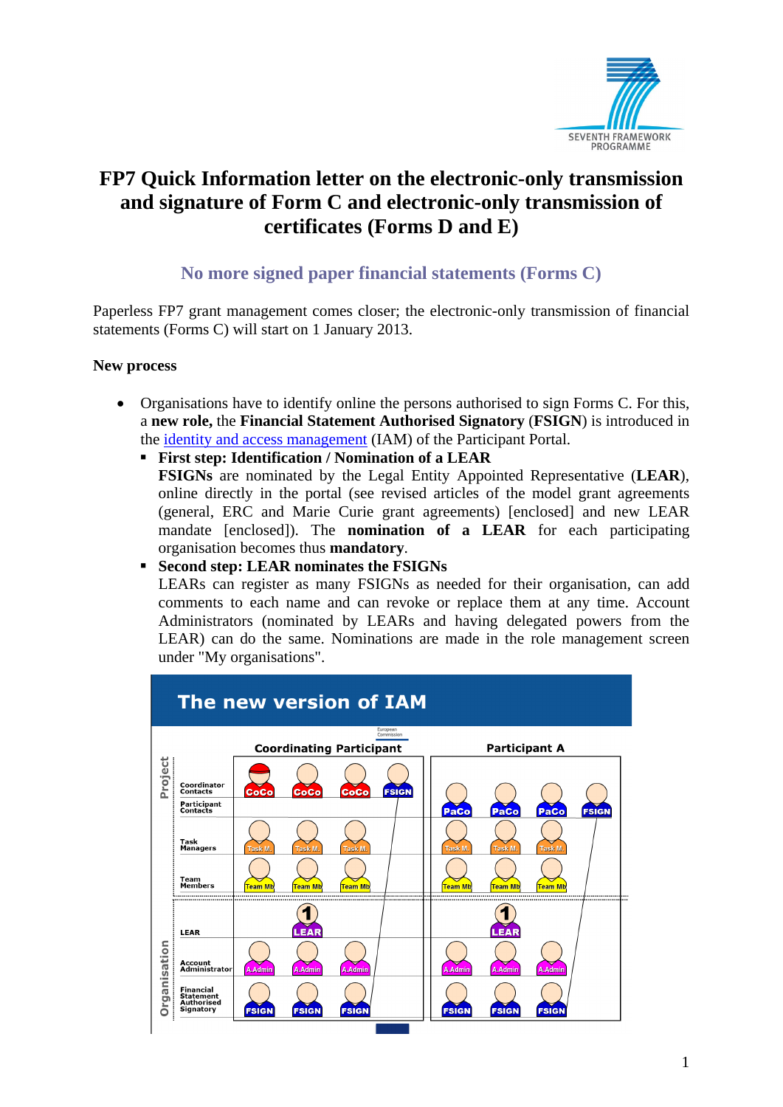

## **FP7 Quick Information letter on the electronic-only transmission and signature of Form C and electronic-only transmission of certificates (Forms D and E)**

### **No more signed paper financial statements (Forms C)**

Paperless FP7 grant management comes closer; the electronic-only transmission of financial statements (Forms C) will start on 1 January 2013.

#### **New process**

- Organisations have to identify online the persons authorised to sign Forms C. For this, a **new role,** the **Financial Statement Authorised Signatory** (**FSIGN**) is introduced in the [identity and access management \(](http://ec.europa.eu/research/participants/portal/page/faq)IAM) of the Participant Portal.
	- **First step: Identification / Nomination of a LEAR FSIGNs** are nominated by the Legal Entity Appointed Representative (**LEAR**), online directly in the portal (see revised articles of the model grant agreements (general, ERC and Marie Curie grant agreements) [enclosed] and new LEAR mandate [enclosed]). The **nomination of a LEAR** for each participating organisation becomes thus **mandatory**.

#### **Second step: LEAR nominates the FSIGNs**

LEARs can register as many FSIGNs as needed for their organisation, can add comments to each name and can revoke or replace them at any time. Account Administrators (nominated by LEARs and having delegated powers from the LEAR) can do the same. Nominations are made in the role management screen under "My organisations".

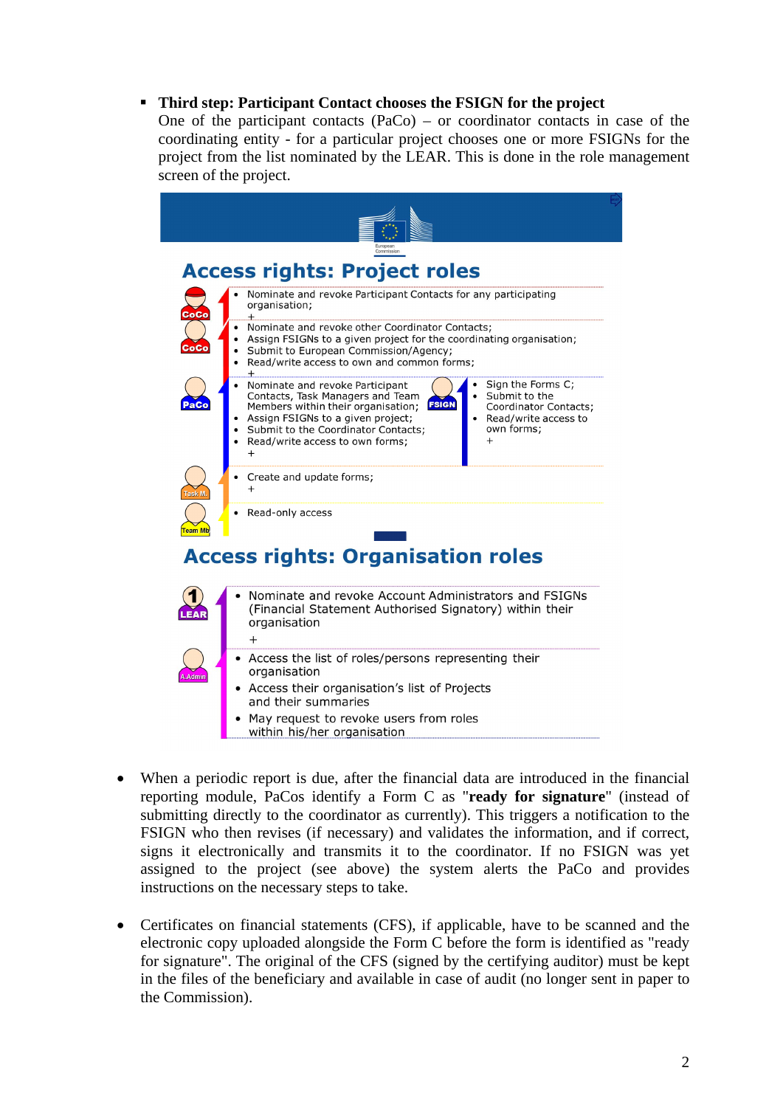#### **Third step: Participant Contact chooses the FSIGN for the project**

One of the participant contacts  $(PaCo) - or$  coordinator contacts in case of the coordinating entity - for a particular project chooses one or more FSIGNs for the project from the list nominated by the LEAR. This is done in the role management screen of the project.



- When a periodic report is due, after the financial data are introduced in the financial reporting module, PaCos identify a Form C as "**ready for signature**" (instead of submitting directly to the coordinator as currently). This triggers a notification to the FSIGN who then revises (if necessary) and validates the information, and if correct, signs it electronically and transmits it to the coordinator. If no FSIGN was yet assigned to the project (see above) the system alerts the PaCo and provides instructions on the necessary steps to take.
- Certificates on financial statements (CFS), if applicable, have to be scanned and the electronic copy uploaded alongside the Form C before the form is identified as "ready for signature". The original of the CFS (signed by the certifying auditor) must be kept in the files of the beneficiary and available in case of audit (no longer sent in paper to the Commission).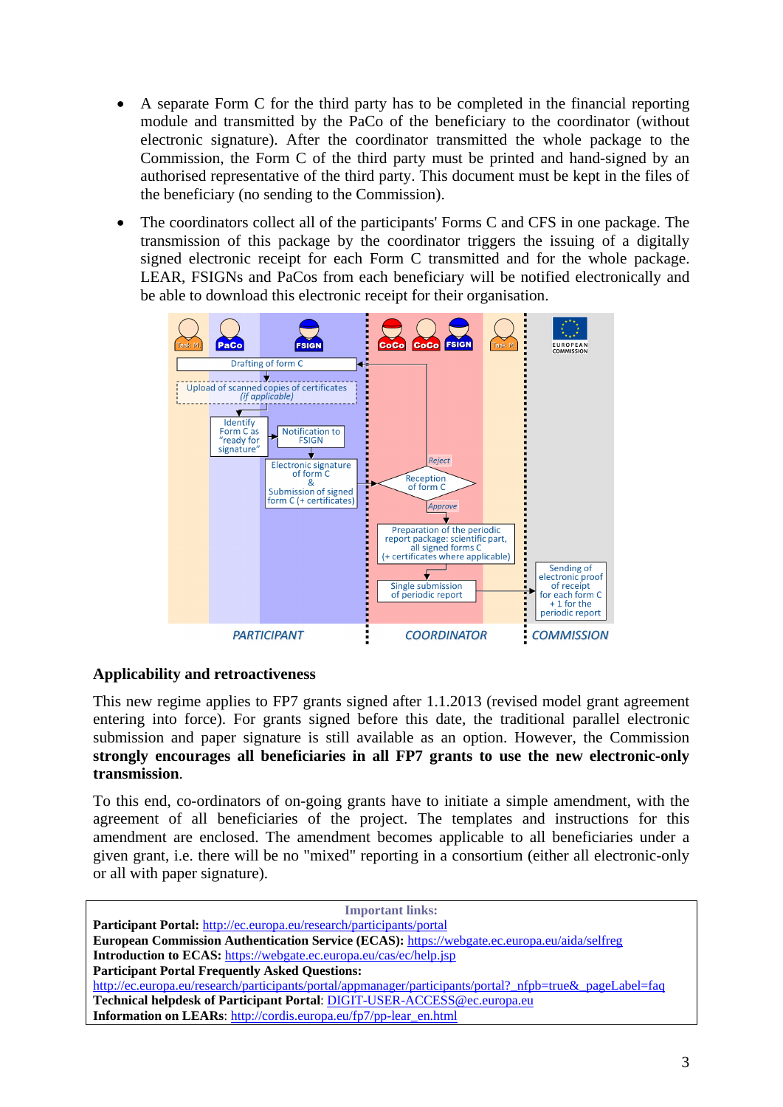- A separate Form C for the third party has to be completed in the financial reporting module and transmitted by the PaCo of the beneficiary to the coordinator (without electronic signature). After the coordinator transmitted the whole package to the Commission, the Form C of the third party must be printed and hand-signed by an authorised representative of the third party. This document must be kept in the files of the beneficiary (no sending to the Commission).
- The coordinators collect all of the participants' Forms C and CFS in one package. The transmission of this package by the coordinator triggers the issuing of a digitally signed electronic receipt for each Form C transmitted and for the whole package. LEAR, FSIGNs and PaCos from each beneficiary will be notified electronically and be able to download this electronic receipt for their organisation.



#### **Applicability and retroactiveness**

This new regime applies to FP7 grants signed after 1.1.2013 (revised model grant agreement entering into force). For grants signed before this date, the traditional parallel electronic submission and paper signature is still available as an option. However, the Commission **strongly encourages all beneficiaries in all FP7 grants to use the new electronic-only transmission**.

To this end, co-ordinators of on-going grants have to initiate a simple amendment, with the agreement of all beneficiaries of the project. The templates and instructions for this amendment are enclosed. The amendment becomes applicable to all beneficiaries under a given grant, i.e. there will be no "mixed" reporting in a consortium (either all electronic-only or all with paper signature).

| <b>Important links:</b>                                                                                   |
|-----------------------------------------------------------------------------------------------------------|
| Participant Portal: http://ec.europa.eu/research/participants/portal                                      |
| European Commission Authentication Service (ECAS): https://webgate.ec.europa.eu/aida/selfreg              |
| <b>Introduction to ECAS:</b> https://webgate.ec.europa.eu/cas/ec/help.jsp                                 |
| <b>Participant Portal Frequently Asked Questions:</b>                                                     |
| http://ec.europa.eu/research/participants/portal/appmanager/participants/portal? nfpb=true& pageLabel=faq |
| Technical helpdesk of Participant Portal: DIGIT-USER-ACCESS@ec.europa.eu                                  |
| Information on LEARs: http://cordis.europa.eu/fp7/pp-lear_en.html                                         |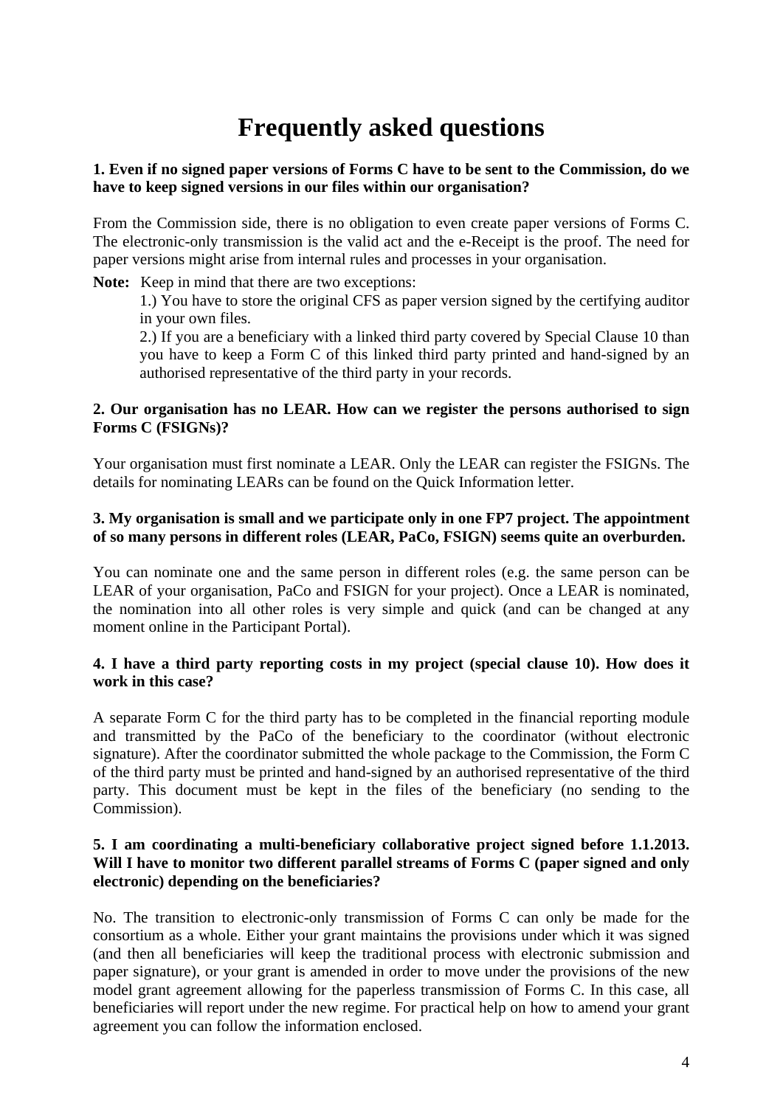# **Frequently asked questions**

#### **1. Even if no signed paper versions of Forms C have to be sent to the Commission, do we have to keep signed versions in our files within our organisation?**

From the Commission side, there is no obligation to even create paper versions of Forms C. The electronic-only transmission is the valid act and the e-Receipt is the proof. The need for paper versions might arise from internal rules and processes in your organisation.

**Note:** Keep in mind that there are two exceptions:

1.) You have to store the original CFS as paper version signed by the certifying auditor in your own files.

2.) If you are a beneficiary with a linked third party covered by Special Clause 10 than you have to keep a Form C of this linked third party printed and hand-signed by an authorised representative of the third party in your records.

#### **2. Our organisation has no LEAR. How can we register the persons authorised to sign Forms C (FSIGNs)?**

Your organisation must first nominate a LEAR. Only the LEAR can register the FSIGNs. The details for nominating LEARs can be found on the Quick Information letter.

#### **3. My organisation is small and we participate only in one FP7 project. The appointment of so many persons in different roles (LEAR, PaCo, FSIGN) seems quite an overburden.**

You can nominate one and the same person in different roles (e.g. the same person can be LEAR of your organisation, PaCo and FSIGN for your project). Once a LEAR is nominated, the nomination into all other roles is very simple and quick (and can be changed at any moment online in the Participant Portal).

#### **4. I have a third party reporting costs in my project (special clause 10). How does it work in this case?**

A separate Form C for the third party has to be completed in the financial reporting module and transmitted by the PaCo of the beneficiary to the coordinator (without electronic signature). After the coordinator submitted the whole package to the Commission, the Form C of the third party must be printed and hand-signed by an authorised representative of the third party. This document must be kept in the files of the beneficiary (no sending to the Commission).

#### **5. I am coordinating a multi-beneficiary collaborative project signed before 1.1.2013. Will I have to monitor two different parallel streams of Forms C (paper signed and only electronic) depending on the beneficiaries?**

No. The transition to electronic-only transmission of Forms C can only be made for the consortium as a whole. Either your grant maintains the provisions under which it was signed (and then all beneficiaries will keep the traditional process with electronic submission and paper signature), or your grant is amended in order to move under the provisions of the new model grant agreement allowing for the paperless transmission of Forms C. In this case, all beneficiaries will report under the new regime. For practical help on how to amend your grant agreement you can follow the information enclosed.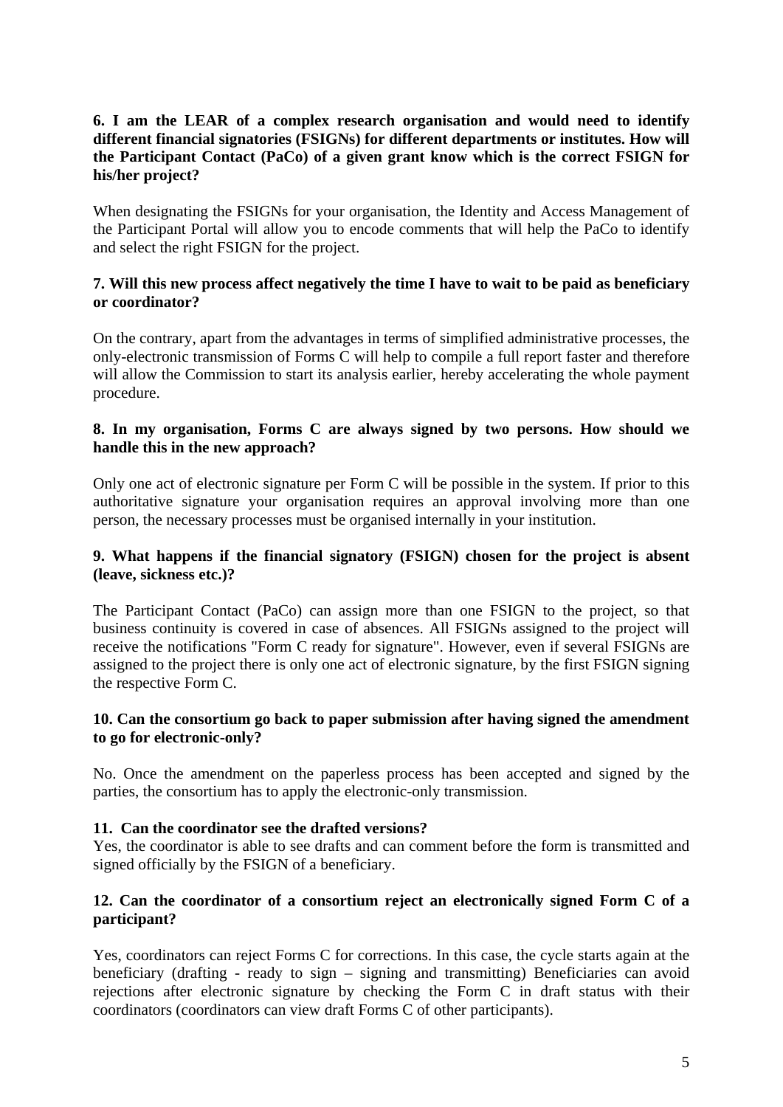#### **6. I am the LEAR of a complex research organisation and would need to identify different financial signatories (FSIGNs) for different departments or institutes. How will the Participant Contact (PaCo) of a given grant know which is the correct FSIGN for his/her project?**

When designating the FSIGNs for your organisation, the Identity and Access Management of the Participant Portal will allow you to encode comments that will help the PaCo to identify and select the right FSIGN for the project.

#### **7. Will this new process affect negatively the time I have to wait to be paid as beneficiary or coordinator?**

On the contrary, apart from the advantages in terms of simplified administrative processes, the only-electronic transmission of Forms C will help to compile a full report faster and therefore will allow the Commission to start its analysis earlier, hereby accelerating the whole payment procedure.

#### **8. In my organisation, Forms C are always signed by two persons. How should we handle this in the new approach?**

Only one act of electronic signature per Form C will be possible in the system. If prior to this authoritative signature your organisation requires an approval involving more than one person, the necessary processes must be organised internally in your institution.

#### **9. What happens if the financial signatory (FSIGN) chosen for the project is absent (leave, sickness etc.)?**

The Participant Contact (PaCo) can assign more than one FSIGN to the project, so that business continuity is covered in case of absences. All FSIGNs assigned to the project will receive the notifications "Form C ready for signature". However, even if several FSIGNs are assigned to the project there is only one act of electronic signature, by the first FSIGN signing the respective Form C.

#### **10. Can the consortium go back to paper submission after having signed the amendment to go for electronic-only?**

No. Once the amendment on the paperless process has been accepted and signed by the parties, the consortium has to apply the electronic-only transmission.

#### **11. Can the coordinator see the drafted versions?**

Yes, the coordinator is able to see drafts and can comment before the form is transmitted and signed officially by the FSIGN of a beneficiary.

#### **12. Can the coordinator of a consortium reject an electronically signed Form C of a participant?**

Yes, coordinators can reject Forms C for corrections. In this case, the cycle starts again at the beneficiary (drafting - ready to sign – signing and transmitting) Beneficiaries can avoid rejections after electronic signature by checking the Form C in draft status with their coordinators (coordinators can view draft Forms C of other participants).